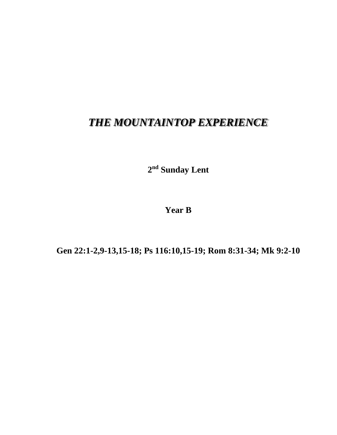## *THE MOUNTAINTOP EXPERIENCE*

**2 nd Sunday Lent**

**Year B**

**Gen 22:1-2,9-13,15-18; Ps 116:10,15-19; Rom 8:31-34; Mk 9:2-10**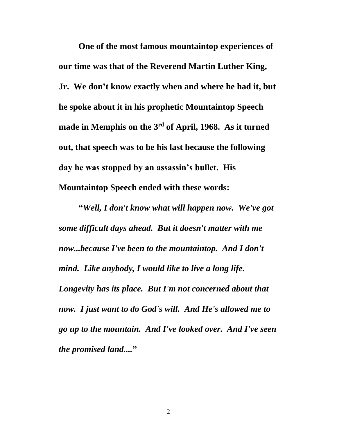**One of the most famous mountaintop experiences of our time was that of the Reverend Martin Luther King, Jr. We don't know exactly when and where he had it, but he spoke about it in his prophetic Mountaintop Speech made in Memphis on the 3rd of April, 1968. As it turned out, that speech was to be his last because the following day he was stopped by an assassin's bullet. His Mountaintop Speech ended with these words:**

**"***Well, I don't know what will happen now. We've got some difficult days ahead. But it doesn't matter with me now...because I've been to the mountaintop. And I don't mind. Like anybody, I would like to live a long life. Longevity has its place. But I'm not concerned about that now. I just want to do God's will. And He's allowed me to go up to the mountain. And I've looked over. And I've seen the promised land....***"**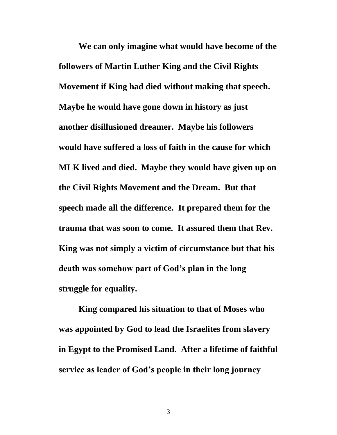**We can only imagine what would have become of the followers of Martin Luther King and the Civil Rights Movement if King had died without making that speech. Maybe he would have gone down in history as just another disillusioned dreamer. Maybe his followers would have suffered a loss of faith in the cause for which MLK lived and died. Maybe they would have given up on the Civil Rights Movement and the Dream. But that speech made all the difference. It prepared them for the trauma that was soon to come. It assured them that Rev. King was not simply a victim of circumstance but that his death was somehow part of God's plan in the long struggle for equality.**

**King compared his situation to that of Moses who was appointed by God to lead the Israelites from slavery in Egypt to the Promised Land. After a lifetime of faithful service as leader of God's people in their long journey**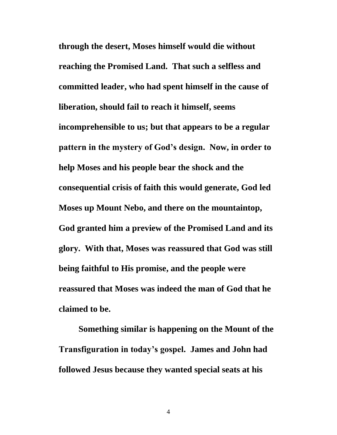**through the desert, Moses himself would die without reaching the Promised Land. That such a selfless and committed leader, who had spent himself in the cause of liberation, should fail to reach it himself, seems incomprehensible to us; but that appears to be a regular pattern in the mystery of God's design. Now, in order to help Moses and his people bear the shock and the consequential crisis of faith this would generate, God led Moses up Mount Nebo, and there on the mountaintop, God granted him a preview of the Promised Land and its glory. With that, Moses was reassured that God was still being faithful to His promise, and the people were reassured that Moses was indeed the man of God that he claimed to be.**

**Something similar is happening on the Mount of the Transfiguration in today's gospel. James and John had followed Jesus because they wanted special seats at his** 

4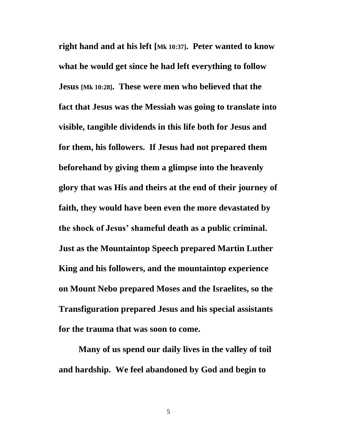**right hand and at his left [Mk 10:37]. Peter wanted to know what he would get since he had left everything to follow Jesus [Mk 10:28]. These were men who believed that the fact that Jesus was the Messiah was going to translate into visible, tangible dividends in this life both for Jesus and for them, his followers. If Jesus had not prepared them beforehand by giving them a glimpse into the heavenly glory that was His and theirs at the end of their journey of faith, they would have been even the more devastated by the shock of Jesus' shameful death as a public criminal. Just as the Mountaintop Speech prepared Martin Luther King and his followers, and the mountaintop experience on Mount Nebo prepared Moses and the Israelites, so the Transfiguration prepared Jesus and his special assistants for the trauma that was soon to come.**

**Many of us spend our daily lives in the valley of toil and hardship. We feel abandoned by God and begin to** 

5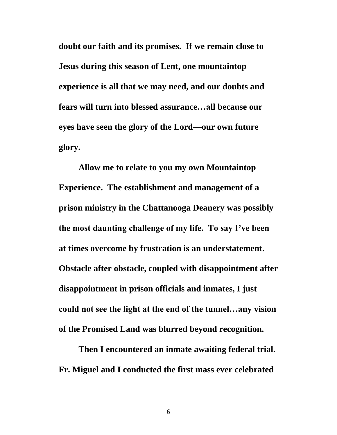**doubt our faith and its promises. If we remain close to Jesus during this season of Lent, one mountaintop experience is all that we may need, and our doubts and fears will turn into blessed assurance…all because our eyes have seen the glory of the Lord—our own future glory.**

**Allow me to relate to you my own Mountaintop Experience. The establishment and management of a prison ministry in the Chattanooga Deanery was possibly the most daunting challenge of my life. To say I've been at times overcome by frustration is an understatement. Obstacle after obstacle, coupled with disappointment after disappointment in prison officials and inmates, I just could not see the light at the end of the tunnel…any vision of the Promised Land was blurred beyond recognition.**

**Then I encountered an inmate awaiting federal trial. Fr. Miguel and I conducted the first mass ever celebrated** 

6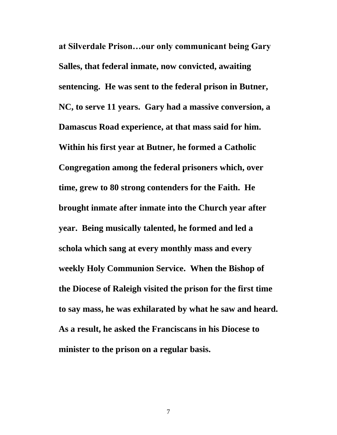**at Silverdale Prison…our only communicant being Gary Salles, that federal inmate, now convicted, awaiting sentencing. He was sent to the federal prison in Butner, NC, to serve 11 years. Gary had a massive conversion, a Damascus Road experience, at that mass said for him. Within his first year at Butner, he formed a Catholic Congregation among the federal prisoners which, over time, grew to 80 strong contenders for the Faith. He brought inmate after inmate into the Church year after year. Being musically talented, he formed and led a schola which sang at every monthly mass and every weekly Holy Communion Service. When the Bishop of the Diocese of Raleigh visited the prison for the first time to say mass, he was exhilarated by what he saw and heard. As a result, he asked the Franciscans in his Diocese to minister to the prison on a regular basis.**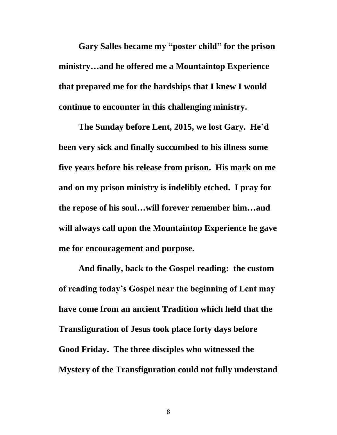**Gary Salles became my "poster child" for the prison ministry…and he offered me a Mountaintop Experience that prepared me for the hardships that I knew I would continue to encounter in this challenging ministry.**

**The Sunday before Lent, 2015, we lost Gary. He'd been very sick and finally succumbed to his illness some five years before his release from prison. His mark on me and on my prison ministry is indelibly etched. I pray for the repose of his soul…will forever remember him…and will always call upon the Mountaintop Experience he gave me for encouragement and purpose.**

**And finally, back to the Gospel reading: the custom of reading today's Gospel near the beginning of Lent may have come from an ancient Tradition which held that the Transfiguration of Jesus took place forty days before Good Friday. The three disciples who witnessed the Mystery of the Transfiguration could not fully understand**